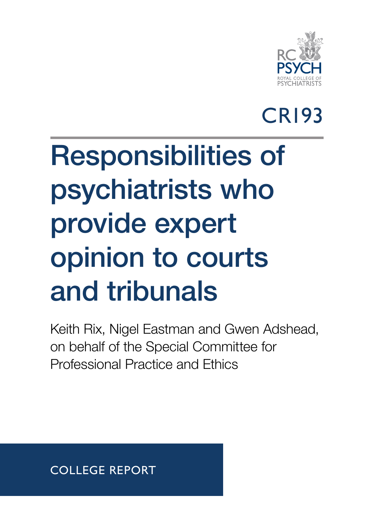

#### CR193

# Responsibilities of psychiatrists who provide expert opinion to courts and tribunals

Keith Rix, Nigel Eastman and Gwen Adshead, on behalf of the Special Committee for Professional Practice and Ethics

COLLEGE REPORT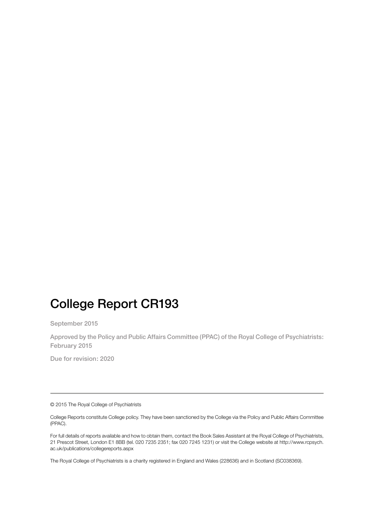#### College Report CR193

September 2015

Approved by the Policy and Public Affairs Committee (PPAC) of the Royal College of Psychiatrists: February 2015

Due for revision: 2020

© 2015 The Royal College of Psychiatrists

College Reports constitute College policy. They have been sanctioned by the College via the Policy and Public Affairs Committee (PPAC).

For full details of reports available and how to obtain them, contact the Book Sales Assistant at the Royal College of Psychiatrists, 21 Prescot Street, London E1 8BB (tel. 020 7235 2351; fax 020 7245 1231) or visit the College website at [http://www.rcpsych.](http://www.rcpsych.ac.uk/publications/collegereports.aspx) [ac.uk/publications/collegereports.aspx](http://www.rcpsych.ac.uk/publications/collegereports.aspx)

The Royal College of Psychiatrists is a charity registered in England and Wales (228636) and in Scotland (SC038369).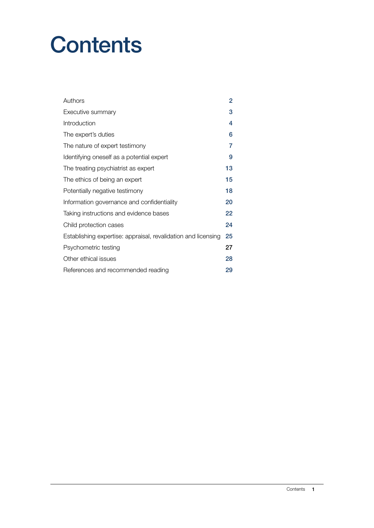#### **Contents**

| Authors                                                       | 2  |
|---------------------------------------------------------------|----|
| Executive summary                                             | 3  |
| Introduction                                                  | 4  |
| The expert's duties                                           | 6  |
| The nature of expert testimony                                | 7  |
| Identifying oneself as a potential expert                     | 9  |
| The treating psychiatrist as expert                           | 13 |
| The ethics of being an expert                                 | 15 |
| Potentially negative testimony                                | 18 |
| Information governance and confidentiality                    | 20 |
| Taking instructions and evidence bases                        | 22 |
| Child protection cases                                        | 24 |
| Establishing expertise: appraisal, revalidation and licensing | 25 |
| Psychometric testing                                          | 27 |
| Other ethical issues                                          | 28 |
| References and recommended reading                            | 29 |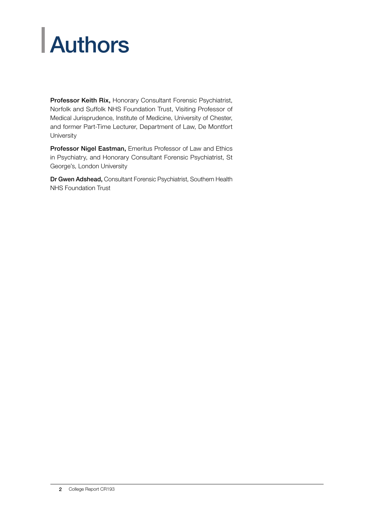## <span id="page-3-0"></span>**Authors**

Professor Keith Rix, Honorary Consultant Forensic Psychiatrist, Norfolk and Suffolk NHS Foundation Trust, Visiting Professor of Medical Jurisprudence, Institute of Medicine, University of Chester, and former Part-Time Lecturer, Department of Law, De Montfort **University** 

Professor Nigel Eastman, Emeritus Professor of Law and Ethics in Psychiatry, and Honorary Consultant Forensic Psychiatrist, St George's, London University

Dr Gwen Adshead, Consultant Forensic Psychiatrist, Southern Health NHS Foundation Trust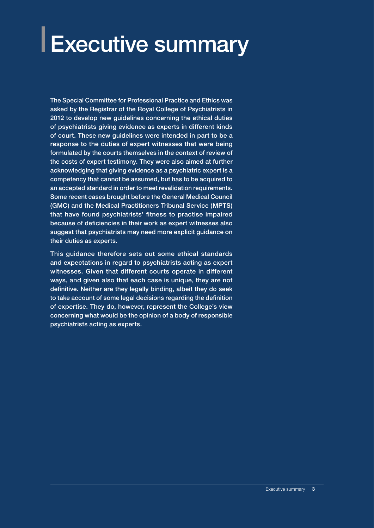## <span id="page-4-0"></span>Executive summary

The Special Committee for Professional Practice and Ethics was asked by the Registrar of the Royal College of Psychiatrists in 2012 to develop new guidelines concerning the ethical duties of psychiatrists giving evidence as experts in different kinds of court. These new guidelines were intended in part to be a response to the duties of expert witnesses that were being formulated by the courts themselves in the context of review of the costs of expert testimony. They were also aimed at further acknowledging that giving evidence as a psychiatric expert is a competency that cannot be assumed, but has to be acquired to an accepted standard in order to meet revalidation requirements. Some recent cases brought before the General Medical Council (GMC) and the Medical Practitioners Tribunal Service (MPTS) that have found psychiatrists' fitness to practise impaired because of deficiencies in their work as expert witnesses also suggest that psychiatrists may need more explicit guidance on their duties as experts.

This guidance therefore sets out some ethical standards and expectations in regard to psychiatrists acting as expert witnesses. Given that different courts operate in different ways, and given also that each case is unique, they are not definitive. Neither are they legally binding, albeit they do seek to take account of some legal decisions regarding the definition of expertise. They do, however, represent the College's view concerning what would be the opinion of a body of responsible psychiatrists acting as experts.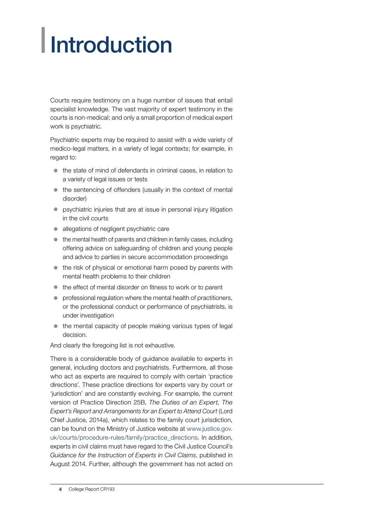## <span id="page-5-0"></span>**Introduction**

Courts require testimony on a huge number of issues that entail specialist knowledge. The vast majority of expert testimony in the courts is non-medical; and only a small proportion of medical expert work is psychiatric.

Psychiatric experts may be required to assist with a wide variety of medico-legal matters, in a variety of legal contexts; for example, in regard to:

- $\bullet$  the state of mind of defendants in criminal cases, in relation to a variety of legal issues or tests
- $\bullet$  the sentencing of offenders (usually in the context of mental disorder)
- psychiatric injuries that are at issue in personal injury litigation in the civil courts
- allegations of negligent psychiatric care
- $\bullet$  the mental health of parents and children in family cases, including offering advice on safeguarding of children and young people and advice to parties in secure accommodation proceedings
- $\bullet$  the risk of physical or emotional harm posed by parents with mental health problems to their children
- $\bullet$  the effect of mental disorder on fitness to work or to parent
- $\bullet$  professional regulation where the mental health of practitioners, or the professional conduct or performance of psychiatrists, is under investigation
- $\bullet$  the mental capacity of people making various types of legal decision.

And clearly the foregoing list is not exhaustive.

There is a considerable body of guidance available to experts in general, including doctors and psychiatrists. Furthermore, all those who act as experts are required to comply with certain 'practice directions'. These practice directions for experts vary by court or 'jurisdiction' and are constantly evolving. For example, the current version of Practice Direction 25B, *The Duties of an Expert, The Expert's Report and Arrangements for an Expert to Attend Court* (Lord Chief Justice, 2014a), which relates to the family court jurisdiction, can be found on the Ministry of Justice website at [www.justice.gov.](https://www.justice.gov.uk/courts/procedure-rules/family/practice_directions) [uk/courts/procedure-rules/family/practice\\_directions.](https://www.justice.gov.uk/courts/procedure-rules/family/practice_directions) In addition, experts in civil claims must have regard to the Civil Justice Council's *Guidance for the Instruction of Experts in Civil Claims*, published in August 2014. Further, although the government has not acted on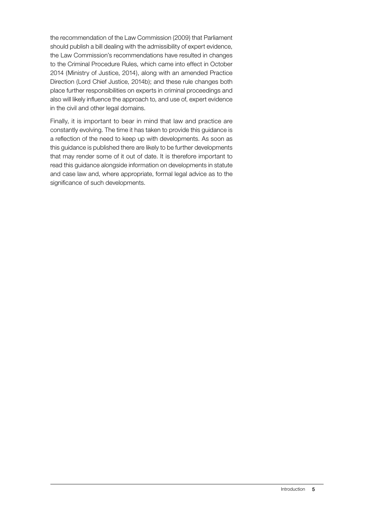the recommendation of the Law Commission (2009) that Parliament should publish a bill dealing with the admissibility of expert evidence, the Law Commission's recommendations have resulted in changes to the Criminal Procedure Rules, which came into effect in October 2014 (Ministry of Justice, 2014), along with an amended Practice Direction (Lord Chief Justice, 2014b); and these rule changes both place further responsibilities on experts in criminal proceedings and also will likely influence the approach to, and use of, expert evidence in the civil and other legal domains.

Finally, it is important to bear in mind that law and practice are constantly evolving. The time it has taken to provide this guidance is a reflection of the need to keep up with developments. As soon as this guidance is published there are likely to be further developments that may render some of it out of date. It is therefore important to read this guidance alongside information on developments in statute and case law and, where appropriate, formal legal advice as to the significance of such developments.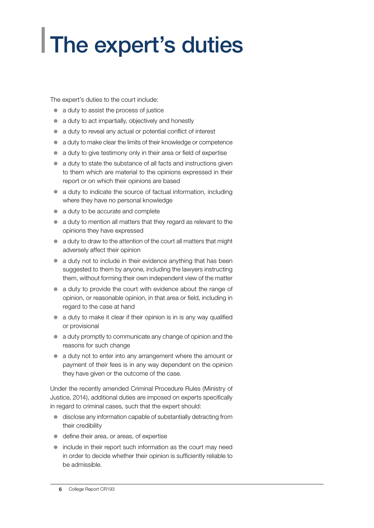## <span id="page-7-0"></span>The expert's duties

The expert's duties to the court include:

- $\bullet$  a duty to assist the process of justice
- $\bullet$  a duty to act impartially, objectively and honestly
- a duty to reveal any actual or potential conflict of interest
- $\bullet$  a duty to make clear the limits of their knowledge or competence
- $\bullet$  a duty to give testimony only in their area or field of expertise
- $\bullet$  a duty to state the substance of all facts and instructions given to them which are material to the opinions expressed in their report or on which their opinions are based
- $\bullet$  a duty to indicate the source of factual information, including where they have no personal knowledge
- $\bullet$  a duty to be accurate and complete
- $\bullet$  a duty to mention all matters that they regard as relevant to the opinions they have expressed
- a duty to draw to the attention of the court all matters that might adversely affect their opinion
- $\bullet$  a duty not to include in their evidence anything that has been suggested to them by anyone, including the lawyers instructing them, without forming their own independent view of the matter
- a duty to provide the court with evidence about the range of opinion, or reasonable opinion, in that area or field, including in regard to the case at hand
- $\bullet$  a duty to make it clear if their opinion is in is any way qualified or provisional
- a duty promptly to communicate any change of opinion and the reasons for such change
- a duty not to enter into any arrangement where the amount or payment of their fees is in any way dependent on the opinion they have given or the outcome of the case.

Under the recently amended Criminal Procedure Rules (Ministry of Justice, 2014), additional duties are imposed on experts specifically in regard to criminal cases, such that the expert should:

- $\bullet$  disclose any information capable of substantially detracting from their credibility
- define their area, or areas, of expertise
- $\bullet$  include in their report such information as the court may need in order to decide whether their opinion is sufficiently reliable to be admissible.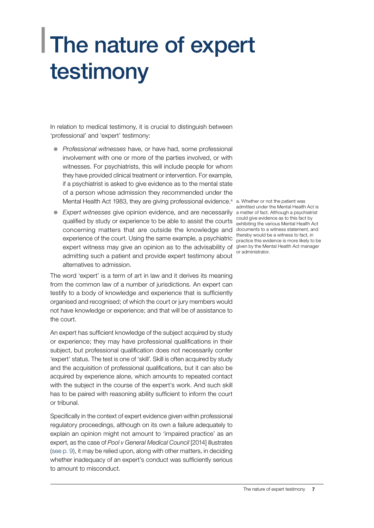### <span id="page-8-0"></span>**The nature of expert** testimony

In relation to medical testimony, it is crucial to distinguish between 'professional' and 'expert' testimony:

- **•** *Professional witnesses* have, or have had, some professional involvement with one or more of the parties involved, or with witnesses. For psychiatrists, this will include people for whom they have provided clinical treatment or intervention. For example, if a psychiatrist is asked to give evidence as to the mental state of a person whose admission they recommended under the Mental Health Act 1983, they are giving professional evidence.<sup>a</sup> a. Whether or not the patient was
- **Expert witnesses give opinion evidence, and are necessarily** a matter of fact. Although a psychiatrist qualified by study or experience to be able to assist the courts could give evidence as to this fact by<br>A contract the various Mental Health A concerning matters that are outside the knowledge and documents to a witness statement, and experience of the court. Using the same example, a psychiatric expert witness may give an opinion as to the advisability of given by the Mental Health Act manager admitting such a patient and provide expert testimony about alternatives to admission.

The word 'expert' is a term of art in law and it derives its meaning from the common law of a number of jurisdictions. An expert can testify to a body of knowledge and experience that is sufficiently organised and recognised; of which the court or jury members would not have knowledge or experience; and that will be of assistance to the court.

An expert has sufficient knowledge of the subject acquired by study or experience; they may have professional qualifications in their subject, but professional qualification does not necessarily confer 'expert' status. The test is one of 'skill'. Skill is often acquired by study and the acquisition of professional qualifications, but it can also be acquired by experience alone, which amounts to repeated contact with the subject in the course of the expert's work. And such skill has to be paired with reasoning ability sufficient to inform the court or tribunal.

Specifically in the context of expert evidence given within professional regulatory proceedings, although on its own a failure adequately to explain an opinion might not amount to 'impaired practice' as an expert, as the case of *Pool v General Medical Council* [2014] illustrates ([see p. 9\)](#page-10-0), it may be relied upon, along with other matters, in deciding whether inadequacy of an expert's conduct was sufficiently serious to amount to misconduct.

admitted under the Mental Health Act is exhibiting the various Mental Health Act thereby would be a witness to fact, in practice this evidence is more likely to be or administrator.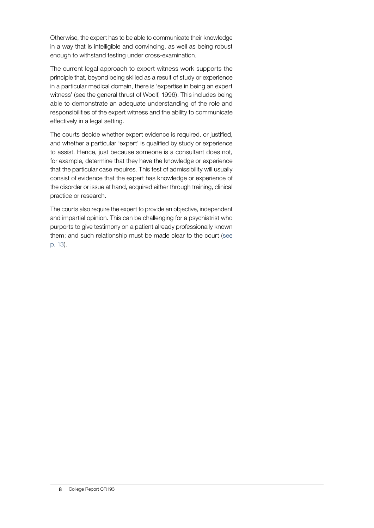Otherwise, the expert has to be able to communicate their knowledge in a way that is intelligible and convincing, as well as being robust enough to withstand testing under cross-examination.

The current legal approach to expert witness work supports the principle that, beyond being skilled as a result of study or experience in a particular medical domain, there is 'expertise in being an expert witness' (see the general thrust of Woolf, 1996). This includes being able to demonstrate an adequate understanding of the role and responsibilities of the expert witness and the ability to communicate effectively in a legal setting.

The courts decide whether expert evidence is required, or justified, and whether a particular 'expert' is qualified by study or experience to assist. Hence, just because someone is a consultant does not, for example, determine that they have the knowledge or experience that the particular case requires. This test of admissibility will usually consist of evidence that the expert has knowledge or experience of the disorder or issue at hand, acquired either through training, clinical practice or research.

The courts also require the expert to provide an objective, independent and impartial opinion. This can be challenging for a psychiatrist who purports to give testimony on a patient already professionally known them; and such relationship must be made clear to the court ([see](#page-14-0) [p. 13\)](#page-14-0).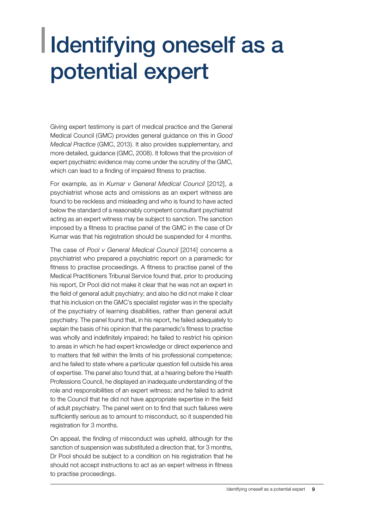#### <span id="page-10-0"></span>I Identifying oneself as a potential expert

Giving expert testimony is part of medical practice and the General Medical Council (GMC) provides general guidance on this in *Good Medical Practice* (GMC, 2013). It also provides supplementary, and more detailed, guidance (GMC, 2008). It follows that the provision of expert psychiatric evidence may come under the scrutiny of the GMC, which can lead to a finding of impaired fitness to practise.

For example, as in *Kumar v General Medical Council* [2012], a psychiatrist whose acts and omissions as an expert witness are found to be reckless and misleading and who is found to have acted below the standard of a reasonably competent consultant psychiatrist acting as an expert witness may be subject to sanction. The sanction imposed by a fitness to practise panel of the GMC in the case of Dr Kumar was that his registration should be suspended for 4 months.

The case of *Pool v General Medical Council* [2014] concerns a psychiatrist who prepared a psychiatric report on a paramedic for fitness to practise proceedings. A fitness to practise panel of the Medical Practitioners Tribunal Service found that, prior to producing his report, Dr Pool did not make it clear that he was not an expert in the field of general adult psychiatry; and also he did not make it clear that his inclusion on the GMC's specialist register was in the specialty of the psychiatry of learning disabilities, rather than general adult psychiatry. The panel found that, in his report, he failed adequately to explain the basis of his opinion that the paramedic's fitness to practise was wholly and indefinitely impaired; he failed to restrict his opinion to areas in which he had expert knowledge or direct experience and to matters that fell within the limits of his professional competence; and he failed to state where a particular question fell outside his area of expertise. The panel also found that, at a hearing before the Health Professions Council, he displayed an inadequate understanding of the role and responsibilities of an expert witness; and he failed to admit to the Council that he did not have appropriate expertise in the field of adult psychiatry. The panel went on to find that such failures were sufficiently serious as to amount to misconduct, so it suspended his registration for 3 months.

On appeal, the finding of misconduct was upheld, although for the sanction of suspension was substituted a direction that, for 3 months, Dr Pool should be subject to a condition on his registration that he should not accept instructions to act as an expert witness in fitness to practise proceedings.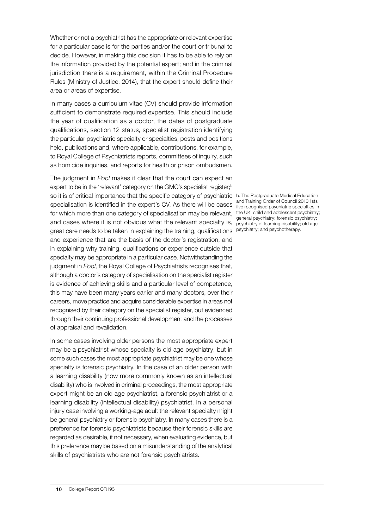Whether or not a psychiatrist has the appropriate or relevant expertise for a particular case is for the parties and/or the court or tribunal to decide. However, in making this decision it has to be able to rely on the information provided by the potential expert; and in the criminal jurisdiction there is a requirement, within the Criminal Procedure Rules (Ministry of Justice, 2014), that the expert should define their area or areas of expertise.

In many cases a curriculum vitae (CV) should provide information sufficient to demonstrate required expertise. This should include the year of qualification as a doctor, the dates of postgraduate qualifications, section 12 status, specialist registration identifying the particular psychiatric specialty or specialties, posts and positions held, publications and, where applicable, contributions, for example, to Royal College of Psychiatrists reports, committees of inquiry, such as homicide inquiries, and reports for health or prison ombudsmen.

The judgment in *Pool* makes it clear that the court can expect an expert to be in the 'relevant' category on the GMC's specialist register;<sup>b</sup> so it is of critical importance that the specific category of psychiatric b. The Postgraduate Medical Education and Training Order of Council 2010 lists<br>Specialisation is identified in the expert's CV. As there will be cases five recognised psychiatric specialties in for which more than one category of specialisation may be relevant, the UK: child and adolescent psychiatry; and cases where it is not obvious what the relevant specialty is, psychiatry of learning disability; old age great care needs to be taken in explaining the training, qualifications psychiatry; and psychotherapy.and experience that are the basis of the doctor's registration, and in explaining why training, qualifications or experience outside that specialty may be appropriate in a particular case. Notwithstanding the judgment in *Pool*, the Royal College of Psychiatrists recognises that, although a doctor's category of specialisation on the specialist register is evidence of achieving skills and a particular level of competence, this may have been many years earlier and many doctors, over their careers, move practice and acquire considerable expertise in areas not recognised by their category on the specialist register, but evidenced through their continuing professional development and the processes of appraisal and revalidation.

In some cases involving older persons the most appropriate expert may be a psychiatrist whose specialty is old age psychiatry; but in some such cases the most appropriate psychiatrist may be one whose specialty is forensic psychiatry. In the case of an older person with a learning disability (now more commonly known as an intellectual disability) who is involved in criminal proceedings, the most appropriate expert might be an old age psychiatrist, a forensic psychiatrist or a learning disability (intellectual disability) psychiatrist. In a personal injury case involving a working-age adult the relevant specialty might be general psychiatry or forensic psychiatry. In many cases there is a preference for forensic psychiatrists because their forensic skills are regarded as desirable, if not necessary, when evaluating evidence, but this preference may be based on a misunderstanding of the analytical skills of psychiatrists who are not forensic psychiatrists.

five recognised psychiatric specialties in general psychiatry; forensic psychiatry;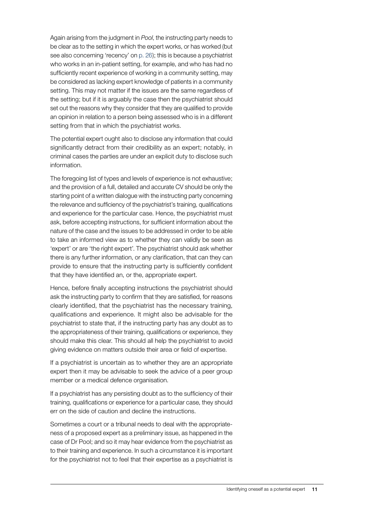Again arising from the judgment in *Pool*, the instructing party needs to be clear as to the setting in which the expert works, or has worked (but see also concerning 'recency' on [p. 26\)](#page-27-0); this is because a psychiatrist who works in an in-patient setting, for example, and who has had no sufficiently recent experience of working in a community setting, may be considered as lacking expert knowledge of patients in a community setting. This may not matter if the issues are the same regardless of the setting; but if it is arguably the case then the psychiatrist should set out the reasons why they consider that they are qualified to provide an opinion in relation to a person being assessed who is in a different setting from that in which the psychiatrist works.

The potential expert ought also to disclose any information that could significantly detract from their credibility as an expert; notably, in criminal cases the parties are under an explicit duty to disclose such information.

The foregoing list of types and levels of experience is not exhaustive; and the provision of a full, detailed and accurate CV should be only the starting point of a written dialogue with the instructing party concerning the relevance and sufficiency of the psychiatrist's training, qualifications and experience for the particular case. Hence, the psychiatrist must ask, before accepting instructions, for sufficient information about the nature of the case and the issues to be addressed in order to be able to take an informed view as to whether they can validly be seen as 'expert' or are 'the right expert'. The psychiatrist should ask whether there is any further information, or any clarification, that can they can provide to ensure that the instructing party is sufficiently confident that they have identified an, or the, appropriate expert.

Hence, before finally accepting instructions the psychiatrist should ask the instructing party to confirm that they are satisfied, for reasons clearly identified, that the psychiatrist has the necessary training, qualifications and experience. It might also be advisable for the psychiatrist to state that, if the instructing party has any doubt as to the appropriateness of their training, qualifications or experience, they should make this clear. This should all help the psychiatrist to avoid giving evidence on matters outside their area or field of expertise.

If a psychiatrist is uncertain as to whether they are an appropriate expert then it may be advisable to seek the advice of a peer group member or a medical defence organisation.

If a psychiatrist has any persisting doubt as to the sufficiency of their training, qualifications or experience for a particular case, they should err on the side of caution and decline the instructions.

Sometimes a court or a tribunal needs to deal with the appropriateness of a proposed expert as a preliminary issue, as happened in the case of Dr Pool; and so it may hear evidence from the psychiatrist as to their training and experience. In such a circumstance it is important for the psychiatrist not to feel that their expertise as a psychiatrist is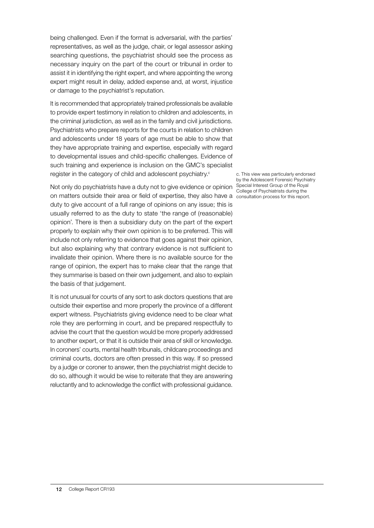being challenged. Even if the format is adversarial, with the parties' representatives, as well as the judge, chair, or legal assessor asking searching questions, the psychiatrist should see the process as necessary inquiry on the part of the court or tribunal in order to assist it in identifying the right expert, and where appointing the wrong expert might result in delay, added expense and, at worst, injustice or damage to the psychiatrist's reputation.

It is recommended that appropriately trained professionals be available to provide expert testimony in relation to children and adolescents, in the criminal jurisdiction, as well as in the family and civil jurisdictions. Psychiatrists who prepare reports for the courts in relation to children and adolescents under 18 years of age must be able to show that they have appropriate training and expertise, especially with regard to developmental issues and child-specific challenges. Evidence of such training and experience is inclusion on the GMC's specialist register in the category of child and adolescent psychiatry.<sup>c</sup>

Not only do psychiatrists have a duty not to give evidence or opinion Special Interest Group of the Royal on matters outside their area or field of expertise, they also have a consultation process for this report.duty to give account of a full range of opinions on any issue; this is usually referred to as the duty to state 'the range of (reasonable) opinion'. There is then a subsidiary duty on the part of the expert properly to explain why their own opinion is to be preferred. This will include not only referring to evidence that goes against their opinion, but also explaining why that contrary evidence is not sufficient to invalidate their opinion. Where there is no available source for the range of opinion, the expert has to make clear that the range that they summarise is based on their own judgement, and also to explain the basis of that judgement.

It is not unusual for courts of any sort to ask doctors questions that are outside their expertise and more properly the province of a different expert witness. Psychiatrists giving evidence need to be clear what role they are performing in court, and be prepared respectfully to advise the court that the question would be more properly addressed to another expert, or that it is outside their area of skill or knowledge. In coroners' courts, mental health tribunals, childcare proceedings and criminal courts, doctors are often pressed in this way. If so pressed by a judge or coroner to answer, then the psychiatrist might decide to do so, although it would be wise to reiterate that they are answering reluctantly and to acknowledge the conflict with professional guidance.

c. This view was particularly endorsed by the Adolescent Forensic Psychiatry College of Psychiatrists during the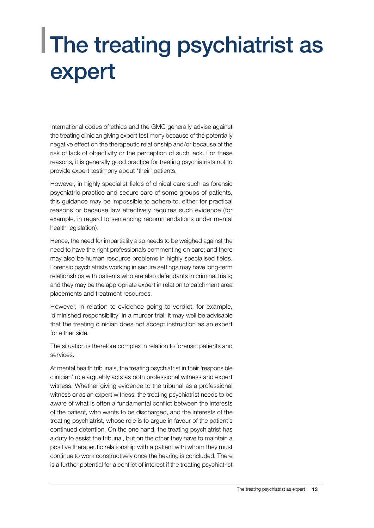#### <span id="page-14-0"></span>The treating psychiatrist as expert

International codes of ethics and the GMC generally advise against the treating clinician giving expert testimony because of the potentially negative effect on the therapeutic relationship and/or because of the risk of lack of objectivity or the perception of such lack. For these reasons, it is generally good practice for treating psychiatrists not to provide expert testimony about 'their' patients.

However, in highly specialist fields of clinical care such as forensic psychiatric practice and secure care of some groups of patients, this guidance may be impossible to adhere to, either for practical reasons or because law effectively requires such evidence (for example, in regard to sentencing recommendations under mental health legislation).

Hence, the need for impartiality also needs to be weighed against the need to have the right professionals commenting on care; and there may also be human resource problems in highly specialised fields. Forensic psychiatrists working in secure settings may have long-term relationships with patients who are also defendants in criminal trials; and they may be the appropriate expert in relation to catchment area placements and treatment resources.

However, in relation to evidence going to verdict, for example, 'diminished responsibility' in a murder trial, it may well be advisable that the treating clinician does not accept instruction as an expert for either side.

The situation is therefore complex in relation to forensic patients and services.

At mental health tribunals, the treating psychiatrist in their 'responsible clinician' role arguably acts as both professional witness and expert witness. Whether giving evidence to the tribunal as a professional witness or as an expert witness, the treating psychiatrist needs to be aware of what is often a fundamental conflict between the interests of the patient, who wants to be discharged, and the interests of the treating psychiatrist, whose role is to argue in favour of the patient's continued detention. On the one hand, the treating psychiatrist has a duty to assist the tribunal, but on the other they have to maintain a positive therapeutic relationship with a patient with whom they must continue to work constructively once the hearing is concluded. There is a further potential for a conflict of interest if the treating psychiatrist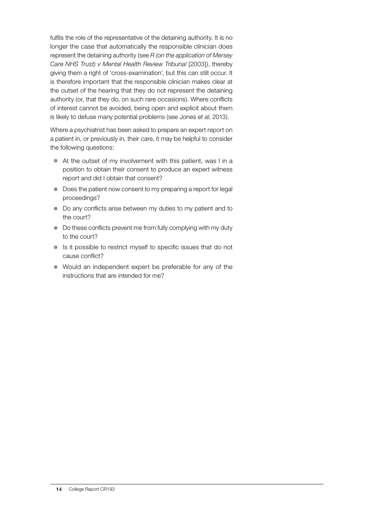fulfils the role of the representative of the detaining authority. It is no longer the case that automatically the responsible clinician does represent the detaining authority (see *R (on the application of Mersey Care NHS Trust) v Mental Health Review Tribunal* [2003]), thereby giving them a right of 'cross-examination', but this can still occur. It is therefore important that the responsible clinician makes clear at the outset of the hearing that they do not represent the detaining authority (or, that they do, on such rare occasions). Where conflicts of interest cannot be avoided, being open and explicit about them is likely to defuse many potential problems (see Jones *et al*, 2013).

Where a psychiatrist has been asked to prepare an expert report on a patient in, or previously in, their care, it may be helpful to consider the following questions:

- $\bullet$  At the outset of my involvement with this patient, was I in a position to obtain their consent to produce an expert witness report and did I obtain that consent?
- $\bullet$  Does the patient now consent to my preparing a report for legal proceedings?
- Do any conflicts arise between my duties to my patient and to the court?
- $\bullet$  Do these conflicts prevent me from fully complying with my duty to the court?
- $\bullet$  Is it possible to restrict myself to specific issues that do not cause conflict?
- $\bullet$  Would an independent expert be preferable for any of the instructions that are intended for me?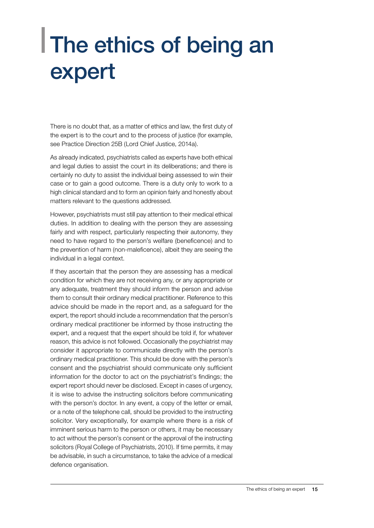### <span id="page-16-0"></span>The ethics of being an expert

There is no doubt that, as a matter of ethics and law, the first duty of the expert is to the court and to the process of justice (for example, see Practice Direction 25B (Lord Chief Justice, 2014a).

As already indicated, psychiatrists called as experts have both ethical and legal duties to assist the court in its deliberations; and there is certainly no duty to assist the individual being assessed to win their case or to gain a good outcome. There is a duty only to work to a high clinical standard and to form an opinion fairly and honestly about matters relevant to the questions addressed.

However, psychiatrists must still pay attention to their medical ethical duties. In addition to dealing with the person they are assessing fairly and with respect, particularly respecting their autonomy, they need to have regard to the person's welfare (beneficence) and to the prevention of harm (non-maleficence), albeit they are seeing the individual in a legal context.

If they ascertain that the person they are assessing has a medical condition for which they are not receiving any, or any appropriate or any adequate, treatment they should inform the person and advise them to consult their ordinary medical practitioner. Reference to this advice should be made in the report and, as a safeguard for the expert, the report should include a recommendation that the person's ordinary medical practitioner be informed by those instructing the expert, and a request that the expert should be told if, for whatever reason, this advice is not followed. Occasionally the psychiatrist may consider it appropriate to communicate directly with the person's ordinary medical practitioner. This should be done with the person's consent and the psychiatrist should communicate only sufficient information for the doctor to act on the psychiatrist's findings; the expert report should never be disclosed. Except in cases of urgency, it is wise to advise the instructing solicitors before communicating with the person's doctor. In any event, a copy of the letter or email, or a note of the telephone call, should be provided to the instructing solicitor. Very exceptionally, for example where there is a risk of imminent serious harm to the person or others, it may be necessary to act without the person's consent or the approval of the instructing solicitors (Royal College of Psychiatrists, 2010). If time permits, it may be advisable, in such a circumstance, to take the advice of a medical defence organisation.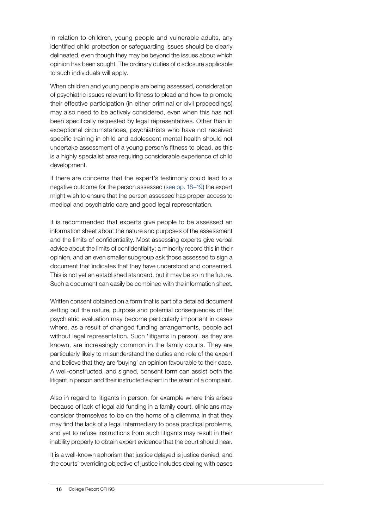In relation to children, young people and vulnerable adults, any identified child protection or safeguarding issues should be clearly delineated, even though they may be beyond the issues about which opinion has been sought. The ordinary duties of disclosure applicable to such individuals will apply.

When children and young people are being assessed, consideration of psychiatric issues relevant to fitness to plead and how to promote their effective participation (in either criminal or civil proceedings) may also need to be actively considered, even when this has not been specifically requested by legal representatives. Other than in exceptional circumstances, psychiatrists who have not received specific training in child and adolescent mental health should not undertake assessment of a young person's fitness to plead, as this is a highly specialist area requiring considerable experience of child development.

If there are concerns that the expert's testimony could lead to a negative outcome for the person assessed ([see pp. 18–19\)](#page-19-0) the expert might wish to ensure that the person assessed has proper access to medical and psychiatric care and good legal representation.

It is recommended that experts give people to be assessed an information sheet about the nature and purposes of the assessment and the limits of confidentiality. Most assessing experts give verbal advice about the limits of confidentiality; a minority record this in their opinion, and an even smaller subgroup ask those assessed to sign a document that indicates that they have understood and consented. This is not yet an established standard, but it may be so in the future. Such a document can easily be combined with the information sheet.

Written consent obtained on a form that is part of a detailed document setting out the nature, purpose and potential consequences of the psychiatric evaluation may become particularly important in cases where, as a result of changed funding arrangements, people act without legal representation. Such 'litigants in person', as they are known, are increasingly common in the family courts. They are particularly likely to misunderstand the duties and role of the expert and believe that they are 'buying' an opinion favourable to their case. A well-constructed, and signed, consent form can assist both the litigant in person and their instructed expert in the event of a complaint.

Also in regard to litigants in person, for example where this arises because of lack of legal aid funding in a family court, clinicians may consider themselves to be on the horns of a dilemma in that they may find the lack of a legal intermediary to pose practical problems, and yet to refuse instructions from such litigants may result in their inability properly to obtain expert evidence that the court should hear.

It is a well-known aphorism that justice delayed is justice denied, and the courts' overriding objective of justice includes dealing with cases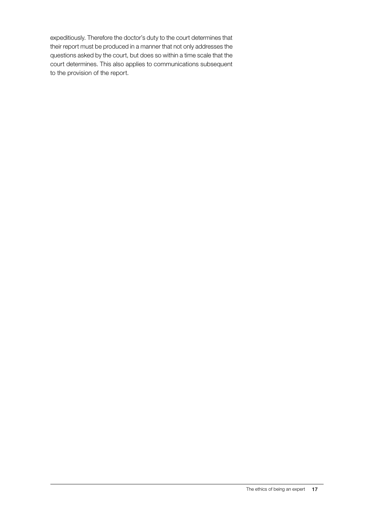expeditiously. Therefore the doctor's duty to the court determines that their report must be produced in a manner that not only addresses the questions asked by the court, but does so within a time scale that the court determines. This also applies to communications subsequent to the provision of the report.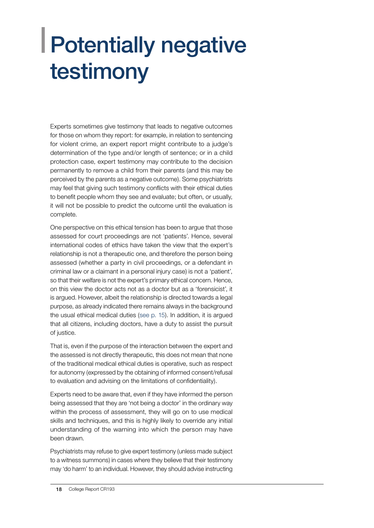## <span id="page-19-0"></span>Potentially negative testimony

Experts sometimes give testimony that leads to negative outcomes for those on whom they report: for example, in relation to sentencing for violent crime, an expert report might contribute to a judge's determination of the type and/or length of sentence; or in a child protection case, expert testimony may contribute to the decision permanently to remove a child from their parents (and this may be perceived by the parents as a negative outcome). Some psychiatrists may feel that giving such testimony conflicts with their ethical duties to benefit people whom they see and evaluate; but often, or usually, it will not be possible to predict the outcome until the evaluation is complete.

One perspective on this ethical tension has been to argue that those assessed for court proceedings are not 'patients'. Hence, several international codes of ethics have taken the view that the expert's relationship is not a therapeutic one, and therefore the person being assessed (whether a party in civil proceedings, or a defendant in criminal law or a claimant in a personal injury case) is not a 'patient', so that their welfare is not the expert's primary ethical concern. Hence, on this view the doctor acts not as a doctor but as a 'forensicist', it is argued. However, albeit the relationship is directed towards a legal purpose, as already indicated there remains always in the background the usual ethical medical duties [\(see p. 15\)](#page-16-0). In addition, it is argued that all citizens, including doctors, have a duty to assist the pursuit of justice.

That is, even if the purpose of the interaction between the expert and the assessed is not directly therapeutic, this does not mean that none of the traditional medical ethical duties is operative, such as respect for autonomy (expressed by the obtaining of informed consent/refusal to evaluation and advising on the limitations of confidentiality).

Experts need to be aware that, even if they have informed the person being assessed that they are 'not being a doctor' in the ordinary way within the process of assessment, they will go on to use medical skills and techniques, and this is highly likely to override any initial understanding of the warning into which the person may have been drawn.

Psychiatrists may refuse to give expert testimony (unless made subject to a witness summons) in cases where they believe that their testimony may 'do harm' to an individual. However, they should advise instructing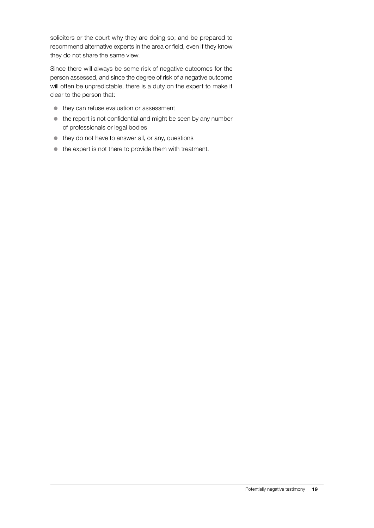solicitors or the court why they are doing so; and be prepared to recommend alternative experts in the area or field, even if they know they do not share the same view.

Since there will always be some risk of negative outcomes for the person assessed, and since the degree of risk of a negative outcome will often be unpredictable, there is a duty on the expert to make it clear to the person that:

- $\bullet$  they can refuse evaluation or assessment
- $\bullet$  the report is not confidential and might be seen by any number of professionals or legal bodies
- $\bullet$  they do not have to answer all, or any, questions
- $\bullet$  the expert is not there to provide them with treatment.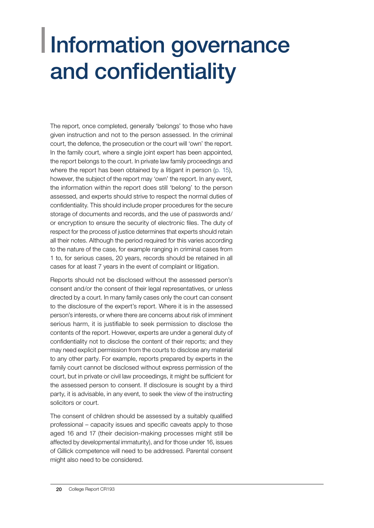#### <span id="page-21-0"></span>Information governance and confidentiality

The report, once completed, generally 'belongs' to those who have given instruction and not to the person assessed. In the criminal court, the defence, the prosecution or the court will 'own' the report. In the family court, where a single joint expert has been appointed, the report belongs to the court. In private law family proceedings and where the report has been obtained by a litigant in person ([p. 15\)](#page-16-0), however, the subject of the report may 'own' the report. In any event, the information within the report does still 'belong' to the person assessed, and experts should strive to respect the normal duties of confidentiality. This should include proper procedures for the secure storage of documents and records, and the use of passwords and/ or encryption to ensure the security of electronic files. The duty of respect for the process of justice determines that experts should retain all their notes. Although the period required for this varies according to the nature of the case, for example ranging in criminal cases from 1 to, for serious cases, 20 years, records should be retained in all cases for at least 7 years in the event of complaint or litigation.

Reports should not be disclosed without the assessed person's consent and/or the consent of their legal representatives, or unless directed by a court. In many family cases only the court can consent to the disclosure of the expert's report. Where it is in the assessed person's interests, or where there are concerns about risk of imminent serious harm, it is justifiable to seek permission to disclose the contents of the report. However, experts are under a general duty of confidentiality not to disclose the content of their reports; and they may need explicit permission from the courts to disclose any material to any other party. For example, reports prepared by experts in the family court cannot be disclosed without express permission of the court, but in private or civil law proceedings, it might be sufficient for the assessed person to consent. If disclosure is sought by a third party, it is advisable, in any event, to seek the view of the instructing solicitors or court.

The consent of children should be assessed by a suitably qualified professional – capacity issues and specific caveats apply to those aged 16 and 17 (their decision-making processes might still be affected by developmental immaturity), and for those under 16, issues of Gillick competence will need to be addressed. Parental consent might also need to be considered.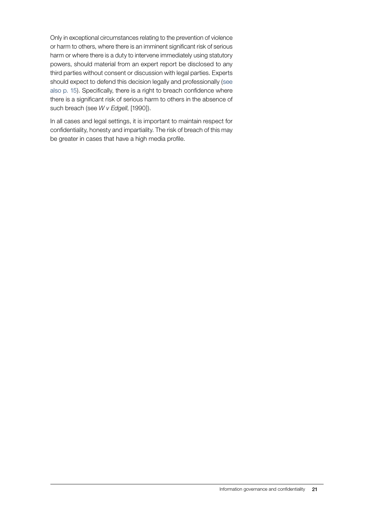Only in exceptional circumstances relating to the prevention of violence or harm to others, where there is an imminent significant risk of serious harm or where there is a duty to intervene immediately using statutory powers, should material from an expert report be disclosed to any third parties without consent or discussion with legal parties. Experts should expect to defend this decision legally and professionally ([see](#page-16-0) [also p. 15](#page-16-0)). Specifically, there is a right to breach confidence where there is a significant risk of serious harm to others in the absence of such breach (see *W v Edgell*, [1990]).

In all cases and legal settings, it is important to maintain respect for confidentiality, honesty and impartiality. The risk of breach of this may be greater in cases that have a high media profile.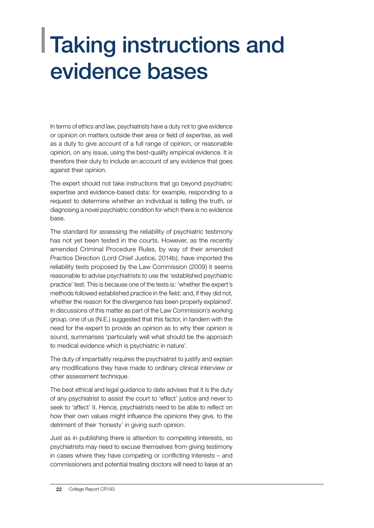#### <span id="page-23-0"></span>Taking instructions and evidence bases

In terms of ethics and law, psychiatrists have a duty not to give evidence or opinion on matters outside their area or field of expertise, as well as a duty to give account of a full range of opinion, or reasonable opinion, on any issue, using the best-quality empirical evidence. It is therefore their duty to include an account of any evidence that goes against their opinion.

The expert should not take instructions that go beyond psychiatric expertise and evidence-based data: for example, responding to a request to determine whether an individual is telling the truth, or diagnosing a novel psychiatric condition for which there is no evidence base.

The standard for assessing the reliability of psychiatric testimony has not yet been tested in the courts. However, as the recently amended Criminal Procedure Rules, by way of their amended Practice Direction (Lord Chief Justice, 2014b), have imported the reliability tests proposed by the Law Commission (2009) it seems reasonable to advise psychiatrists to use the 'established psychiatric practice' test. This is because one of the tests is: 'whether the expert's methods followed established practice in the field; and, if they did not, whether the reason for the divergence has been properly explained'. In discussions of this matter as part of the Law Commission's working group, one of us (N.E.) suggested that this factor, in tandem with the need for the expert to provide an opinion as to why their opinion is sound, summarises 'particularly well what should be the approach to medical evidence which is psychiatric in nature'.

The duty of impartiality requires the psychiatrist to justify and explain any modifications they have made to ordinary clinical interview or other assessment technique.

The best ethical and legal guidance to date advises that it is the duty of any psychiatrist to assist the court to 'effect' justice and never to seek to 'affect' it. Hence, psychiatrists need to be able to reflect on how their own values might influence the opinions they give, to the detriment of their 'honesty' in giving such opinion.

Just as in publishing there is attention to competing interests, so psychiatrists may need to excuse themselves from giving testimony in cases where they have competing or conflicting interests – and commissioners and potential treating doctors will need to liaise at an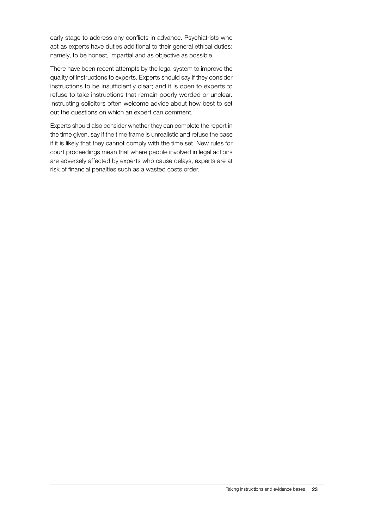early stage to address any conflicts in advance. Psychiatrists who act as experts have duties additional to their general ethical duties: namely, to be honest, impartial and as objective as possible.

There have been recent attempts by the legal system to improve the quality of instructions to experts. Experts should say if they consider instructions to be insufficiently clear; and it is open to experts to refuse to take instructions that remain poorly worded or unclear. Instructing solicitors often welcome advice about how best to set out the questions on which an expert can comment.

Experts should also consider whether they can complete the report in the time given, say if the time frame is unrealistic and refuse the case if it is likely that they cannot comply with the time set. New rules for court proceedings mean that where people involved in legal actions are adversely affected by experts who cause delays, experts are at risk of financial penalties such as a wasted costs order.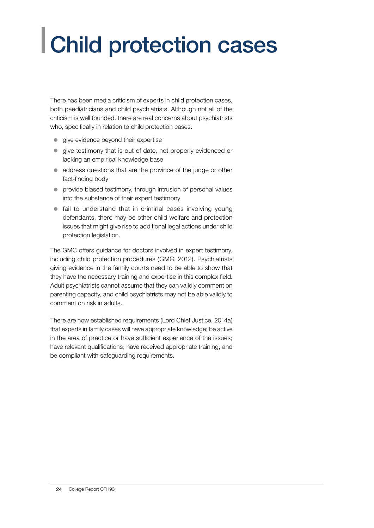## <span id="page-25-0"></span>Child protection cases

There has been media criticism of experts in child protection cases, both paediatricians and child psychiatrists. Although not all of the criticism is well founded, there are real concerns about psychiatrists who, specifically in relation to child protection cases:

- $\bullet$  give evidence beyond their expertise
- give testimony that is out of date, not properly evidenced or lacking an empirical knowledge base
- address questions that are the province of the judge or other fact-finding body
- **•** provide biased testimony, through intrusion of personal values into the substance of their expert testimony
- $\bullet$  fail to understand that in criminal cases involving young defendants, there may be other child welfare and protection issues that might give rise to additional legal actions under child protection legislation.

The GMC offers guidance for doctors involved in expert testimony, including child protection procedures (GMC, 2012). Psychiatrists giving evidence in the family courts need to be able to show that they have the necessary training and expertise in this complex field. Adult psychiatrists cannot assume that they can validly comment on parenting capacity, and child psychiatrists may not be able validly to comment on risk in adults.

There are now established requirements (Lord Chief Justice, 2014a) that experts in family cases will have appropriate knowledge; be active in the area of practice or have sufficient experience of the issues; have relevant qualifications; have received appropriate training; and be compliant with safeguarding requirements.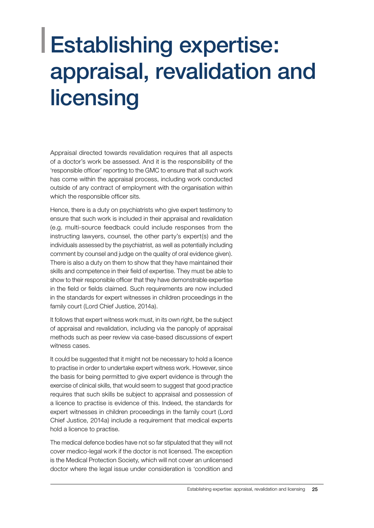#### <span id="page-26-0"></span>Establishing expertise: appraisal, revalidation and licensing

Appraisal directed towards revalidation requires that all aspects of a doctor's work be assessed. And it is the responsibility of the 'responsible officer' reporting to the GMC to ensure that all such work has come within the appraisal process, including work conducted outside of any contract of employment with the organisation within which the responsible officer sits.

Hence, there is a duty on psychiatrists who give expert testimony to ensure that such work is included in their appraisal and revalidation (e.g. multi-source feedback could include responses from the instructing lawyers, counsel, the other party's expert(s) and the individuals assessed by the psychiatrist, as well as potentially including comment by counsel and judge on the quality of oral evidence given). There is also a duty on them to show that they have maintained their skills and competence in their field of expertise. They must be able to show to their responsible officer that they have demonstrable expertise in the field or fields claimed. Such requirements are now included in the standards for expert witnesses in children proceedings in the family court (Lord Chief Justice, 2014a).

It follows that expert witness work must, in its own right, be the subject of appraisal and revalidation, including via the panoply of appraisal methods such as peer review via case-based discussions of expert witness cases.

It could be suggested that it might not be necessary to hold a licence to practise in order to undertake expert witness work. However, since the basis for being permitted to give expert evidence is through the exercise of clinical skills, that would seem to suggest that good practice requires that such skills be subject to appraisal and possession of a licence to practise is evidence of this. Indeed, the standards for expert witnesses in children proceedings in the family court (Lord Chief Justice, 2014a) [include](https://www.justice.gov.uk/courts/procedure-rules/family/practice_directions/practice-direction-25b-the-duties-of-an-expert,-the-experts-report-and-arrangements-for-an-expert-to-attend-court)include) a requirement that medical experts hold a licence to practise.

The medical defence bodies have not so far stipulated that they will not cover medico-legal work if the doctor is not licensed. The exception is the Medical Protection Society, which will not cover an unlicensed doctor where the legal issue under consideration is 'condition and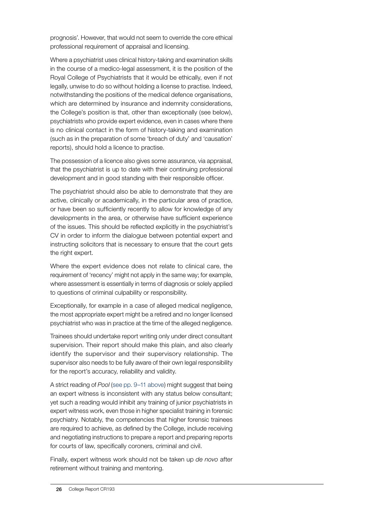<span id="page-27-0"></span>prognosis'. However, that would not seem to override the core ethical professional requirement of appraisal and licensing.

Where a psychiatrist uses clinical history-taking and examination skills in the course of a medico-legal assessment, it is the position of the Royal College of Psychiatrists that it would be ethically, even if not legally, unwise to do so without holding a license to practise. Indeed, notwithstanding the positions of the medical defence organisations, which are determined by insurance and indemnity considerations, the College's position is that, other than exceptionally (see below), psychiatrists who provide expert evidence, even in cases where there is no clinical contact in the form of history-taking and examination (such as in the preparation of some 'breach of duty' and 'causation' reports), should hold a licence to practise.

The possession of a licence also gives some assurance, via appraisal, that the psychiatrist is up to date with their continuing professional development and in good standing with their responsible officer.

The psychiatrist should also be able to demonstrate that they are active, clinically or academically, in the particular area of practice, or have been so sufficiently recently to allow for knowledge of any developments in the area, or otherwise have sufficient experience of the issues. This should be reflected explicitly in the psychiatrist's CV in order to inform the dialogue between potential expert and instructing solicitors that is necessary to ensure that the court gets the right expert.

Where the expert evidence does not relate to clinical care, the requirement of 'recency' might not apply in the same way; for example, where assessment is essentially in terms of diagnosis or solely applied to questions of criminal culpability or responsibility.

Exceptionally, for example in a case of alleged medical negligence, the most appropriate expert might be a retired and no longer licensed psychiatrist who was in practice at the time of the alleged negligence.

Trainees should undertake report writing only under direct consultant supervision. Their report should make this plain, and also clearly identify the supervisor and their supervisory relationship. The supervisor also needs to be fully aware of their own legal responsibility for the report's accuracy, reliability and validity.

A strict reading of *Pool* [\(see pp. 9–11 above](#page-10-0)) might suggest that being an expert witness is inconsistent with any status below consultant; yet such a reading would inhibit any training of junior psychiatrists in expert witness work, even those in higher specialist training in forensic psychiatry. Notably, the competencies that higher forensic trainees are required to achieve, as defined by the College, include receiving and negotiating instructions to prepare a report and preparing reports for courts of law, specifically coroners, criminal and civil.

Finally, expert witness work should not be taken up *de novo* after retirement without training and mentoring.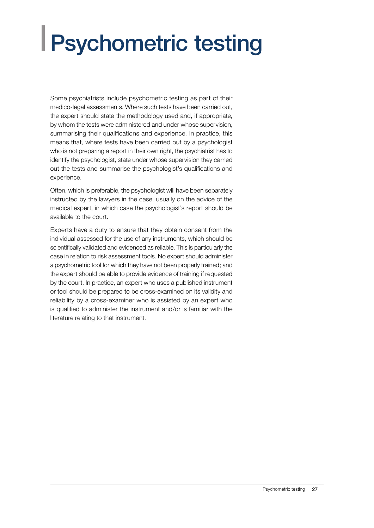## <span id="page-28-0"></span>Psychometric testing

Some psychiatrists include psychometric testing as part of their medico-legal assessments. Where such tests have been carried out, the expert should state the methodology used and, if appropriate, by whom the tests were administered and under whose supervision, summarising their qualifications and experience. In practice, this means that, where tests have been carried out by a psychologist who is not preparing a report in their own right, the psychiatrist has to identify the psychologist, state under whose supervision they carried out the tests and summarise the psychologist's qualifications and experience.

Often, which is preferable, the psychologist will have been separately instructed by the lawyers in the case, usually on the advice of the medical expert, in which case the psychologist's report should be available to the court.

Experts have a duty to ensure that they obtain consent from the individual assessed for the use of any instruments, which should be scientifically validated and evidenced as reliable. This is particularly the case in relation to risk assessment tools. No expert should administer a psychometric tool for which they have not been properly trained; and the expert should be able to provide evidence of training if requested by the court. In practice, an expert who uses a published instrument or tool should be prepared to be cross-examined on its validity and reliability by a cross-examiner who is assisted by an expert who is qualified to administer the instrument and/or is familiar with the literature relating to that instrument.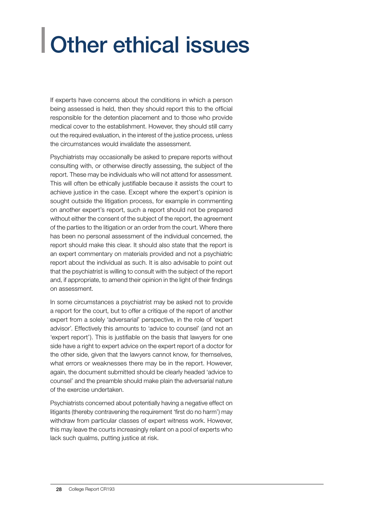## <span id="page-29-0"></span>Other ethical issues

If experts have concerns about the conditions in which a person being assessed is held, then they should report this to the official responsible for the detention placement and to those who provide medical cover to the establishment. However, they should still carry out the required evaluation, in the interest of the justice process, unless the circumstances would invalidate the assessment.

Psychiatrists may occasionally be asked to prepare reports without consulting with, or otherwise directly assessing, the subject of the report. These may be individuals who will not attend for assessment. This will often be ethically justifiable because it assists the court to achieve justice in the case. Except where the expert's opinion is sought outside the litigation process, for example in commenting on another expert's report, such a report should not be prepared without either the consent of the subject of the report, the agreement of the parties to the litigation or an order from the court. Where there has been no personal assessment of the individual concerned, the report should make this clear. It should also state that the report is an expert commentary on materials provided and not a psychiatric report about the individual as such. It is also advisable to point out that the psychiatrist is willing to consult with the subject of the report and, if appropriate, to amend their opinion in the light of their findings on assessment.

In some circumstances a psychiatrist may be asked not to provide a report for the court, but to offer a critique of the report of another expert from a solely 'adversarial' perspective, in the role of 'expert advisor'. Effectively this amounts to 'advice to counsel' (and not an 'expert report'). This is justifiable on the basis that lawyers for one side have a right to expert advice on the expert report of a doctor for the other side, given that the lawyers cannot know, for themselves, what errors or weaknesses there may be in the report. However, again, the document submitted should be clearly headed 'advice to counsel' and the preamble should make plain the adversarial nature of the exercise undertaken.

Psychiatrists concerned about potentially having a negative effect on litigants (thereby contravening the requirement 'first do no harm') may withdraw from particular classes of expert witness work. However, this may leave the courts increasingly reliant on a pool of experts who lack such qualms, putting justice at risk.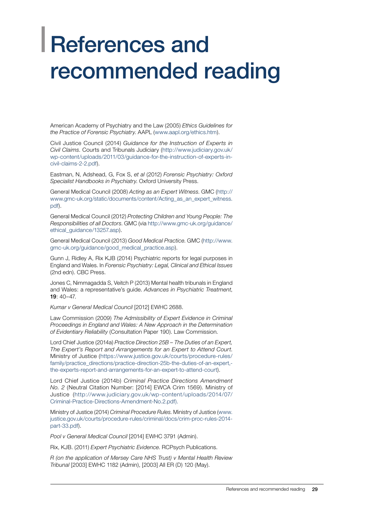#### <span id="page-30-0"></span>References and recommended reading

American Academy of Psychiatry and the Law (2005) *Ethics Guidelines for the Practice of Forensic Psychiatry*. AAPL ([www.aapl.org/ethics.htm](http://www.aapl.org/ethics.htm)).

Civil Justice Council (2014) *Guidance for the Instruction of Experts in Civil Claims*. Courts and Tribunals Judiciary ([http://www.judiciary.gov.uk/](http://www.judiciary.gov.uk/wp-content/uploads/2011/03/guidance-for-the-instruction-of-experts-in-civil-claims-2-2.pdf) [wp-content/uploads/2011/03/guidance-for-the-instruction-of-experts-in](http://www.judiciary.gov.uk/wp-content/uploads/2011/03/guidance-for-the-instruction-of-experts-in-civil-claims-2-2.pdf)[civil-claims-2-2.pdf](http://www.judiciary.gov.uk/wp-content/uploads/2011/03/guidance-for-the-instruction-of-experts-in-civil-claims-2-2.pdf)).

Eastman, N, Adshead, G, Fox S, *et al* (2012) *Forensic Psychiatry: Oxford Specialist Handbooks in Psychiatry*. Oxford University Press.

General Medical Council (2008) *Acting as an Expert Witness*. GMC ([http://](http://www.gmc-uk.org/static/documents/content/Acting_as_an_expert_witness.pdf) [www.gmc-uk.org/static/documents/content/Acting\\_as\\_an\\_expert\\_witness.](http://www.gmc-uk.org/static/documents/content/Acting_as_an_expert_witness.pdf) [pdf](http://www.gmc-uk.org/static/documents/content/Acting_as_an_expert_witness.pdf)).

General Medical Council (2012) *Protecting Children and Young People: The Responsibilities of all Doctors*. GMC (via [http://www.gmc-uk.org/guidance/](http://www.gmc-uk.org/guidance/ethical_guidance/13257.asp) ethical quidance/13257.asp).

General Medical Council (2013) *Good Medical Practice*. GMC ([http://www.](http://www.gmc-uk.org/guidance/good_medical_practice.asp) [gmc-uk.org/guidance/good\\_medical\\_practice.asp](http://www.gmc-uk.org/guidance/good_medical_practice.asp)).

Gunn J, Ridley A, Rix KJB (2014) Psychiatric reports for legal purposes in England and Wales. In *Forensic Psychiatry: Legal, Clinical and Ethical Issues*  (2nd edn). CBC Press.

[Jones C, Nimmagadda S, Veitch P \(2013\) Mental health tribunals in England](http://apt.rcpsych.org/content/19/1/40 (2013) Mental health tribunals in England and Wales: a representative’s guide. Advances in Psychiatric Treatment, 19: 40-47.) [and Wales: a representative's guide.](http://apt.rcpsych.org/content/19/1/40 (2013) Mental health tribunals in England and Wales: a representative’s guide. Advances in Psychiatric Treatment, 19: 40-47.) *Advances in Psychiatric Treatment*, 19[: 40–47.](http://apt.rcpsych.org/content/19/1/40 (2013) Mental health tribunals in England and Wales: a representative’s guide. Advances in Psychiatric Treatment, 19: 40-47.)

*Kumar v General Medical Council* [2012] EWHC 2688.

Law Commission (2009) *The Admissibility of Expert Evidence in Criminal Proceedings in England and Wales: A New Approach in the Determination of Evidentiary Reliability* (Consultation Paper 190). Law Commission.

Lord Chief Justice (2014a) *Practice Direction 25B – The Duties of an Expert, The Expert's Report and Arrangements for an Expert to Attend Court*. Ministry of Justice ([https://www.justice.gov.uk/courts/procedure-rules/](https://www.justice.gov.uk/courts/procedure-rules/family/practice_directions/practice) [family/practice\\_directions/practice-](https://www.justice.gov.uk/courts/procedure-rules/family/practice_directions/practice)direction-25b-the-duties-of-an-expert, the-experts-report-and-arrangements-for-an-expert-to-attend-court).

Lord Chief Justice (2014b) *Criminal Practice Directions Amendment No. 2* (Neutral Citation Number: [2014] EWCA Crim 1569). Ministry of Justice ([http://www.judiciary.gov.uk/wp-content/uploads/2014/07/](http://www.judiciary.gov.uk/wp-content/uploads/2014/07/Criminal-Practice-Directions-Amendment-No.2.pdf) [Criminal-Practice-Directions-Amendment-No.2.pdf](http://www.judiciary.gov.uk/wp-content/uploads/2014/07/Criminal-Practice-Directions-Amendment-No.2.pdf)).

Ministry of Justice (2014) *Criminal Procedure Rules*. Ministry of Justice ([www.](https://www.justice.gov.uk/courts/procedure-rules/criminal/docs/crim-proc-rules-2014-part-33.pdf) [justice.gov.uk/courts/procedure-rules/criminal/docs/crim-proc-rules-2014](https://www.justice.gov.uk/courts/procedure-rules/criminal/docs/crim-proc-rules-2014-part-33.pdf) [part-33.pdf\)](https://www.justice.gov.uk/courts/procedure-rules/criminal/docs/crim-proc-rules-2014-part-33.pdf).

*Pool v General Medical Council* [2014] EWHC 3791 (Admin).

Rix, KJB. (2011) *Expert Psychiatric Evidence*. RCPsych Publications.

*R (on the application of Mersey Care NHS Trust) v Mental Health Review Tribunal* [2003] EWHC 1182 (Admin), [2003] All ER (D) 120 (May).